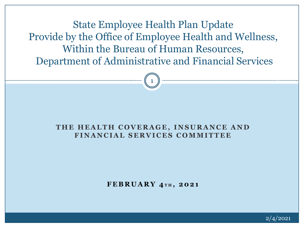State Employee Health Plan Update Provide by the Office of Employee Health and Wellness, Within the Bureau of Human Resources, Department of Administrative and Financial Services

1

#### THE HEALTH COVERAGE, INSURANCE AND **F I N A N C I A L S E R V I C E S C O M M I T T E E**

**FEBRUARY 4TH, 2021** 

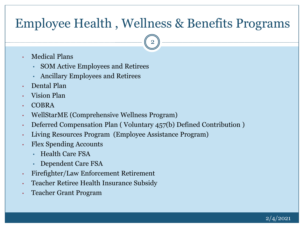## Employee Health , Wellness & Benefits Programs

- Medical Plans
	- SOM Active Employees and Retirees
	- Ancillary Employees and Retirees
- Dental Plan
- Vision Plan
- COBRA
- WellStarME (Comprehensive Wellness Program)
- Deferred Compensation Plan (Voluntary 457(b) Defined Contribution)
- Living Resources Program (Employee Assistance Program)
- Flex Spending Accounts
	- Health Care FSA
	- Dependent Care FSA
- Firefighter/Law Enforcement Retirement
- Teacher Retiree Health Insurance Subsidy
- Teacher Grant Program

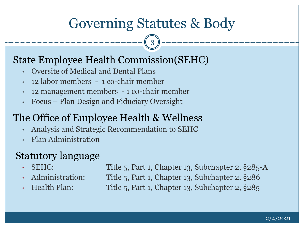# Governing Statutes & Body

3

## State Employee Health Commission(SEHC)

- Oversite of Medical and Dental Plans
- 12 labor members 1 co-chair member
- 12 management members 1 c0-chair member
- Focus Plan Design and Fiduciary Oversight

## The Office of Employee Health & Wellness

- Analysis and Strategic Recommendation to SEHC
- Plan Administration

### Statutory language

- 
- 
- 

• SEHC: Title 5, Part 1, Chapter 13, Subchapter 2, §285-A • Administration: Title 5, Part 1, Chapter 13, Subchapter 2, §286 • Health Plan: Title 5, Part 1, Chapter 13, Subchapter 2, §285

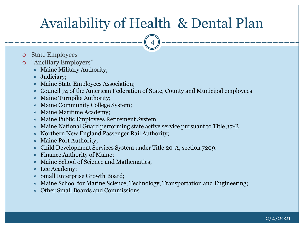# Availability of Health & Dental Plan

- State Employees
- "Ancillary Employers"
	- $\times$  Maine Military Authority;
	- **Iudiciary**;
	- $\times$  Maine State Employees Association;
	- $\overline{\phantom{a}}$  Council 74 of the American Federation of State, County and Municipal employees
	- $\times$  Maine Turnpike Authority;
	- $\times$  Maine Community College System;
	- $\times$  Maine Maritime Academy;
	- $\times$  Maine Public Employees Retirement System
	- $\times$  Maine National Guard performing state active service pursuant to Title 37-B
	- $\times$  Northern New England Passenger Rail Authority;
	- $\times$  Maine Port Authority;
	- Child Development Services System under Title 20-A, section 7209.
	- $\times$  Finance Authority of Maine;
	- $\times$  Maine School of Science and Mathematics;
	- $\times$  Lee Academy;
	- Small Enterprise Growth Board;
	- $\times$  Maine School for Marine Science, Technology, Transportation and Engineering;
	- Other Small Boards and Commissions

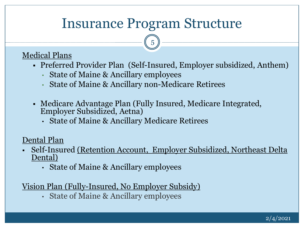## Insurance Program Structure

5

#### Medical Plans

- Preferred Provider Plan (Self-Insured, Employer subsidized, Anthem)
	- State of Maine & Ancillary employees
	- State of Maine & Ancillary non-Medicare Retirees
- Medicare Advantage Plan (Fully Insured, Medicare Integrated, Employer Subsidized, Aetna)
	- State of Maine & Ancillary Medicare Retirees

#### Dental Plan

- Self-Insured <u>(Retention Account, Employer Subsidized, Northeast Delta</u> Dental)
	- State of Maine & Ancillary employees

#### Vision Plan (Fully-Insured, No Employer Subsidy)

• State of Maine & Ancillary employees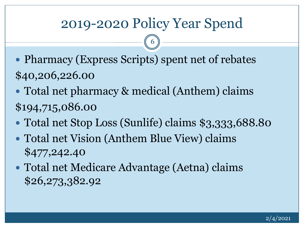# 2019-2020 Policy Year Spend

- Pharmacy (Express Scripts) spent net of rebates \$40,206,226.00
- Total net pharmacy & medical (Anthem) claims \$194,715,086.00
- Total net Stop Loss (Sunlife) claims \$3,333,688.80
- Total net Vision (Anthem Blue View) claims \$477,242.40
- Total net Medicare Advantage (Aetna) claims \$26,273,382.92

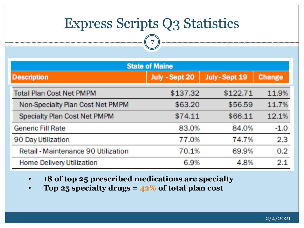# Express Scripts Q3 Statistics

| <b>State of Maine</b>               |                |              |        |  |  |  |
|-------------------------------------|----------------|--------------|--------|--|--|--|
| <b>Description</b>                  | July - Sept 20 | July-Sept 19 | Change |  |  |  |
| <b>Total Plan Cost Net PMPM</b>     | \$137.32       | \$122.71     | 11.9%  |  |  |  |
| Non-Specialty Plan Cost Net PMPM    | \$63.20        | \$56.59      | 11.7%  |  |  |  |
| <b>Specialty Plan Cost Net PMPM</b> | \$74.11        | \$66.11      | 12.1%  |  |  |  |
| Generic Fill Rate                   | 83.0%          | 84.0%        | $-1.0$ |  |  |  |
| 90 Day Utilization                  | 77.0%          | 74.7%        | 2.3    |  |  |  |
| Retail - Maintenance 90 Utilization | 70.1%          | 69.9%        | 0.2    |  |  |  |
| Home Delivery Utilization           | 6.9%           | 4.8%         | 2.1    |  |  |  |

- **18 of top 25 prescribed medications are specialty**
- **Top 25 specialty drugs = 42% of total plan cost**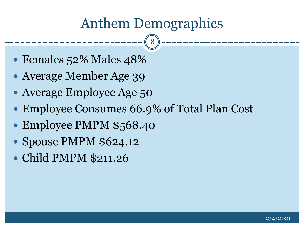# Anthem Demographics

- Females 52% Males 48%
- Average Member Age 39
- Average Employee Age 50
- Employee Consumes 66.9% of Total Plan Cost
- Employee PMPM \$568.40
- Spouse PMPM \$624.12
- Child PMPM \$211.26

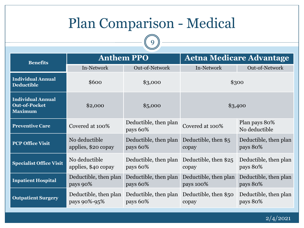# Plan Comparison - Medical

9

| <b>Benefits</b>                                                    | <b>Anthem PPO</b>                     |                                   | <b>Aetna Medicare Advantage</b>    |                                   |  |
|--------------------------------------------------------------------|---------------------------------------|-----------------------------------|------------------------------------|-----------------------------------|--|
|                                                                    | In-Network                            | Out-of-Network                    | In-Network                         | Out-of-Network                    |  |
| <b>Individual Annual</b><br><b>Deductible</b>                      | \$600                                 | \$3,000                           | \$300                              |                                   |  |
| <b>Individual Annual</b><br><b>Out-of-Pocket</b><br><b>Maximum</b> | \$2,000                               | \$5,000                           | \$3,400                            |                                   |  |
| <b>Preventive Care</b>                                             | Covered at 100%                       | Deductible, then plan<br>pays 60% | Covered at 100%                    | Plan pays 80%<br>No deductible    |  |
| <b>PCP Office Visit</b>                                            | No deductible<br>applies, \$20 copay  | Deductible, then plan<br>pays 60% | Deductible, then \$5<br>copay      | Deductible, then plan<br>pays 80% |  |
| <b>Specialist Office Visit</b>                                     | No deductible<br>applies, \$40 copay  | Deductible, then plan<br>pays 60% | Deductible, then \$25<br>copay     | Deductible, then plan<br>pays 80% |  |
| <b>Inpatient Hospital</b>                                          | Deductible, then plan<br>pays 90%     | Deductible, then plan<br>pays 60% | Deductible, then plan<br>pays 100% | Deductible, then plan<br>pays 80% |  |
| <b>Outpatient Surgery</b>                                          | Deductible, then plan<br>pays 90%-95% | Deductible, then plan<br>pays 60% | Deductible, then \$50<br>copay     | Deductible, then plan<br>pays 80% |  |

2/4/2021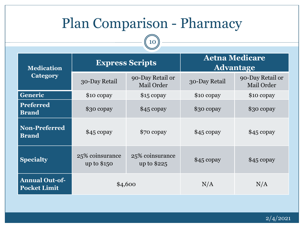#### Plan Comparison - Pharmacy 10 **Medication Category Express Scripts Aetna Medicare Advantage** 30-Day Retail 90-Day Retail or 30-Day Retail 90-Day Retail or Mail Order **Generic** \$10 copay \$15 copay \$10 copay \$10 copay **Preferred Brand** \$30 copay \$45 copay \$30 copay \$30 copay \$30 copay **Non-Preferred Brand** \$45 copay \$70 copay \$45 copay \$45 copay \$45 copay **Specialty** 25% coinsurance up to \$150 25% coinsurance we comparance  $$45$  copay  $$45$  copay **Annual Out-of-**Pocket Limit **\$4,600** \$4,600 N/A N/A

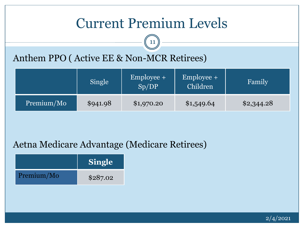# Current Premium Levels

11

### Anthem PPO ( Active EE & Non-MCR Retirees)

|            | Single   | Employee +<br>Sp/DP | Employee +<br>Children | Family     |
|------------|----------|---------------------|------------------------|------------|
| Premium/Mo | \$941.98 | \$1,970.20          | \$1,549.64             | \$2,344.28 |

#### Aetna Medicare Advantage (Medicare Retirees)

|            | <b>Single</b> |
|------------|---------------|
| Premium/Mo | \$287.02      |

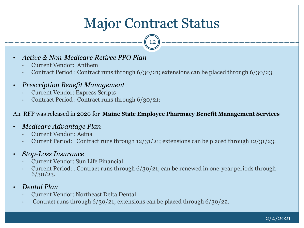# Major Contract Status

12

- *Active & Non-Medicare Retiree PPO Plan* 
	- Current Vendor: Anthem
	- Contract Period : Contract runs through 6/30/21; extensions can be placed through 6/30/23.
- *Prescription Benefit Management*
	- Current Vendor: Express Scripts
	- Contract Period : Contract runs through 6/30/21;

#### An RFP was released in 2020 for **Maine State Employee Pharmacy Benefit Management Services**

- *Medicare Advantage Plan*
	- Current Vendor : Aetna
	- Current Period: Contract runs through  $12/31/21$ ; extensions can be placed through  $12/31/23$ .
- *Stop-Loss Insurance*
	- Current Vendor: Sun Life Financial
	- Current Period: . Contract runs through  $6/30/21$ ; can be renewed in one-year periods through 6/30/23.
- *Dental Plan*
	- Current Vendor: Northeast Delta Dental
	- Contract runs through 6/30/21; extensions can be placed through 6/30/22.

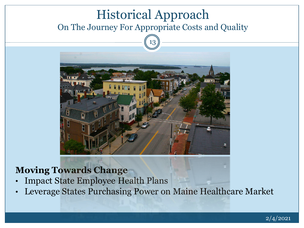## Historical Approach On The Journey For Appropriate Costs and Quality





#### **Moving Towards Change**

- Impact State Employee Health Plans
- Leverage States Purchasing Power on Maine Healthcare Market

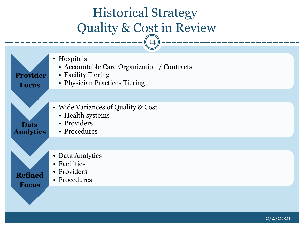

2/4/2021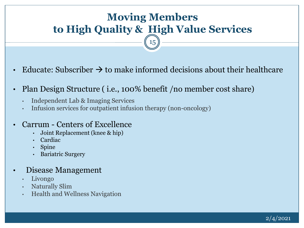## **Moving Members to High Quality & High Value Services**

- Educate: Subscriber  $\rightarrow$  to make informed decisions about their healthcare
- Plan Design Structure (i.e., 100% benefit /no member cost share)
	- Independent Lab & Imaging Services
	- Infusion services for outpatient infusion therapy (non-oncology)
- Carrum Centers of Excellence
	- Joint Replacement (knee & hip)
	- Cardiac
	- Spine
	- Bariatric Surgery
- Disease Management
	- Livongo
	- Naturally Slim
	- Health and Wellness Navigation

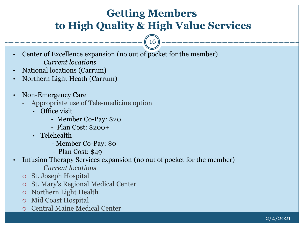## **Getting Members to High Quality & High Value Services**

- Center of Excellence expansion (no out of pocket for the member) *Current locations*
- National locations (Carrum)
- Northern Light Heath (Carrum)
- Non-Emergency Care
	- Appropriate use of Tele-medicine option
		- Office visit
			- Member Co-Pay: \$20
			- Plan Cost: \$200+
		- Telehealth
			- Member Co-Pay: \$0
			- Plan Cost: \$49
- Infusion Therapy Services expansion (no out of pocket for the member)
	- *Current locations*
	- St. Joseph Hospital
	- o St. Mary's Regional Medical Center
	- Northern Light Health
	- Mid Coast Hospital
	- Central Maine Medical Center

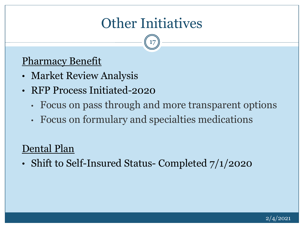# Other Initiatives

17

### Pharmacy Benefit

- Market Review Analysis
- RFP Process Initiated-2020
	- Focus on pass through and more transparent options
	- Focus on formulary and specialties medications

### Dental Plan

• Shift to Self-Insured Status- Completed  $7/1/2020$ 

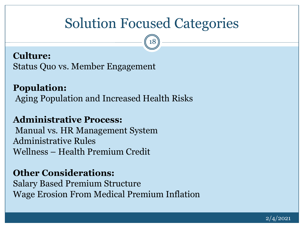# Solution Focused Categories

18

#### **Culture:**  Status Quo vs. Member Engagement

#### **Population:**  Aging Population and Increased Health Risks

#### **Administrative Process:**

Manual vs. HR Management System Administrative Rules Wellness – Health Premium Credit

#### **Other Considerations:**

Salary Based Premium Structure Wage Erosion From Medical Premium Inflation

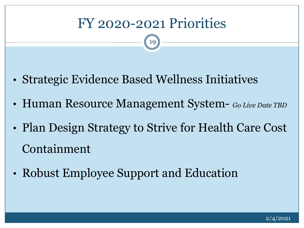## FY 2020-2021 Priorities

- Strategic Evidence Based Wellness Initiatives
- Human Resource Management System- *Go Live Date TBD*
- Plan Design Strategy to Strive for Health Care Cost Containment
- Robust Employee Support and Education